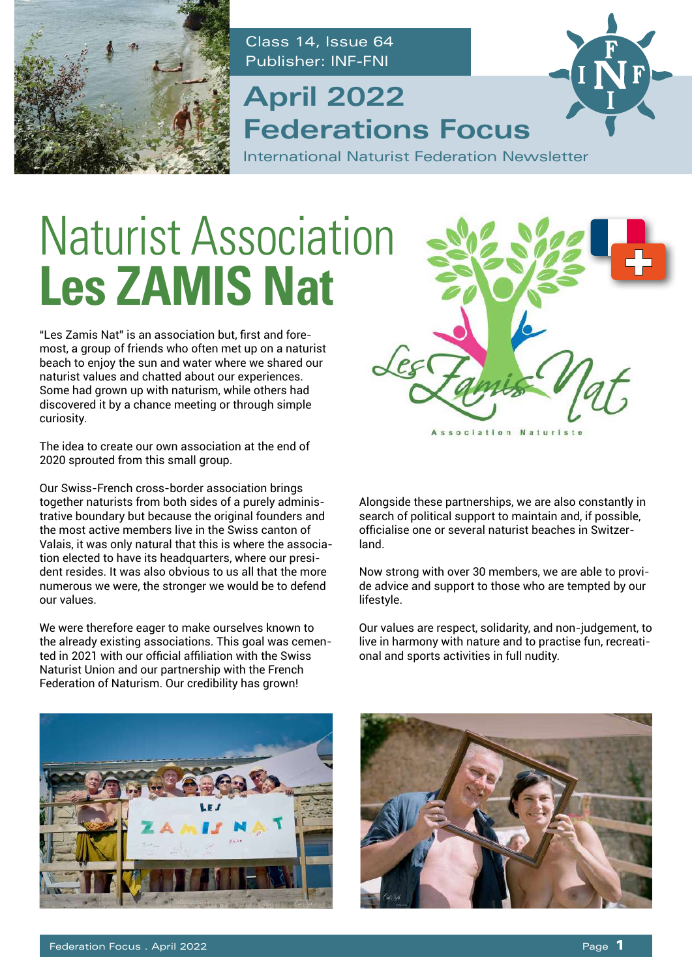

Class 14, Issue 64 Publisher: INF-FNI

### **Federations Focus April 2022**

International Naturist Federation Newsletter

## Naturist Association **Les ZAMIS Nat**

"Les Zamis Nat" is an association but, first and foremost, a group of friends who often met up on a naturist beach to enjoy the sun and water where we shared our naturist values and chatted about our experiences. Some had grown up with naturism, while others had discovered it by a chance meeting or through simple curiosity.

The idea to create our own association at the end of 2020 sprouted from this small group.

Our Swiss-French cross-border association brings together naturists from both sides of a purely administrative boundary but because the original founders and the most active members live in the Swiss canton of Valais, it was only natural that this is where the association elected to have its headquarters, where our president resides. It was also obvious to us all that the more numerous we were, the stronger we would be to defend our values.

We were therefore eager to make ourselves known to the already existing associations. This goal was cemented in 2021 with our official affiliation with the Swiss Naturist Union and our partnership with the French Federation of Naturism. Our credibility has grown!



Alongside these partnerships, we are also constantly in search of political support to maintain and, if possible, officialise one or several naturist beaches in Switzerland.

Now strong with over 30 members, we are able to provide advice and support to those who are tempted by our lifestyle.

Our values are respect, solidarity, and non-judgement, to live in harmony with nature and to practise fun, recreational and sports activities in full nudity.



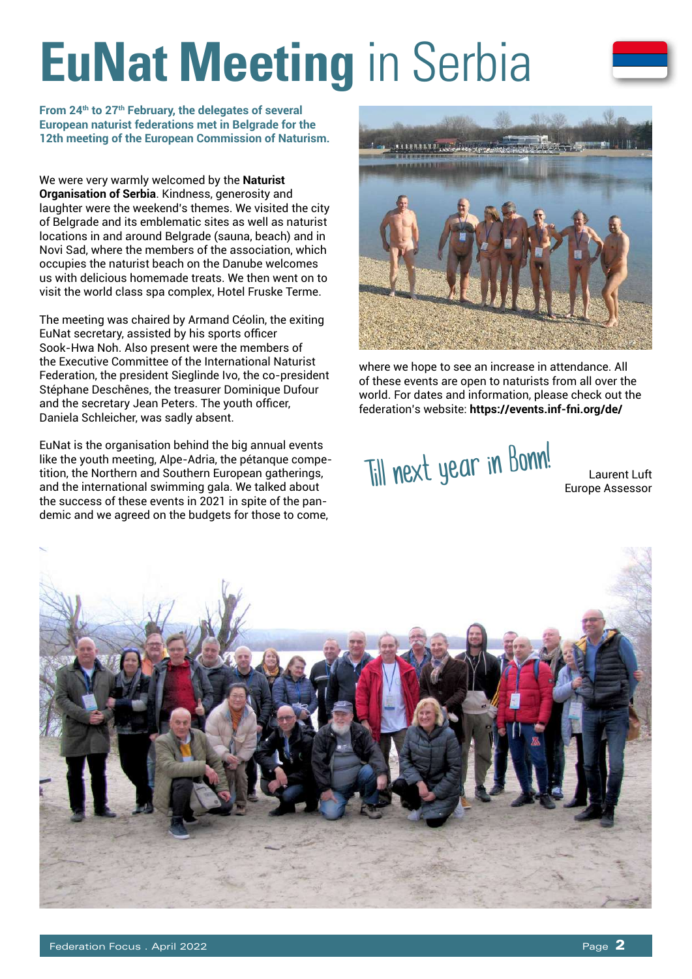## **EuNat Meeting** in Serbia

**From 24th to 27th February, the delegates of several European naturist federations met in Belgrade for the 12th meeting of the European Commission of Naturism.**

We were very warmly welcomed by the **Naturist Organisation of Serbia**. Kindness, generosity and laughter were the weekend's themes. We visited the city of Belgrade and its emblematic sites as well as naturist locations in and around Belgrade (sauna, beach) and in Novi Sad, where the members of the association, which occupies the naturist beach on the Danube welcomes us with delicious homemade treats. We then went on to visit the world class spa complex, Hotel Fruske Terme.

The meeting was chaired by Armand Céolin, the exiting EuNat secretary, assisted by his sports officer Sook-Hwa Noh. Also present were the members of the Executive Committee of the International Naturist Federation, the president Sieglinde Ivo, the co-president Stéphane Deschênes, the treasurer Dominique Dufour and the secretary Jean Peters. The youth officer, Daniela Schleicher, was sadly absent.

EuNat is the organisation behind the big annual events like the youth meeting, Alpe-Adria, the pétanque competition, the Northern and Southern European gatherings, and the international swimming gala. We talked about the success of these events in 2021 in spite of the pandemic and we agreed on the budgets for those to come,



where we hope to see an increase in attendance. All of these events are open to naturists from all over the world. For dates and information, please check out the federation's website: **https://events.inf-fni.org/de/**

Till next year in Bonn!

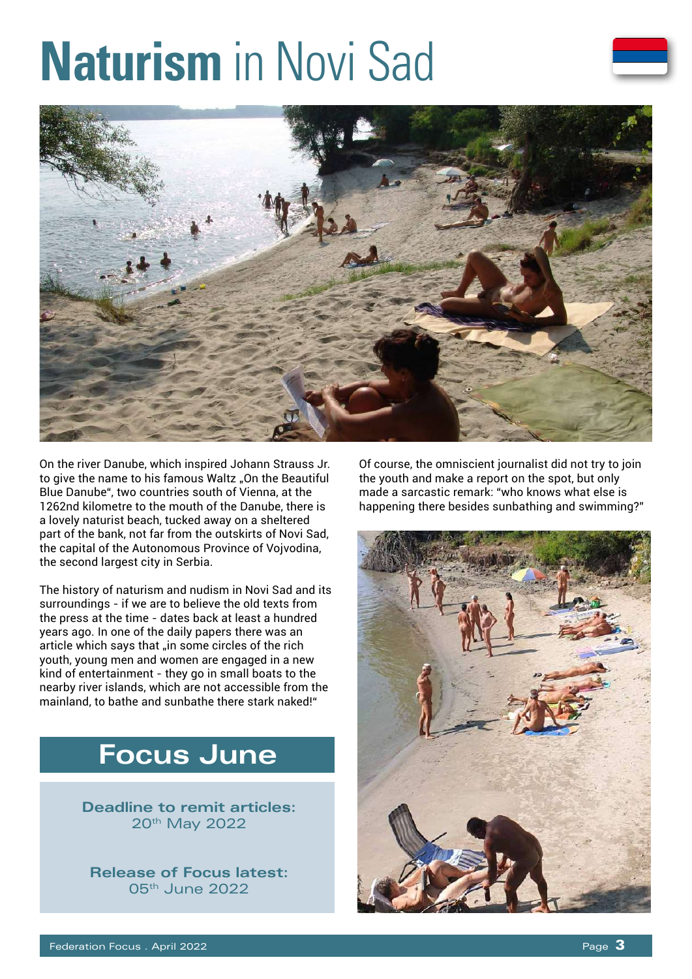## **Naturism** in Novi Sad



On the river Danube, which inspired Johann Strauss Jr. to give the name to his famous Waltz "On the Beautiful Blue Danube", two countries south of Vienna, at the 1262nd kilometre to the mouth of the Danube, there is a lovely naturist beach, tucked away on a sheltered part of the bank, not far from the outskirts of Novi Sad, the capital of the Autonomous Province of Vojvodina, the second largest city in Serbia.

The history of naturism and nudism in Novi Sad and its surroundings - if we are to believe the old texts from the press at the time - dates back at least a hundred years ago. In one of the daily papers there was an article which says that "in some circles of the rich youth, young men and women are engaged in a new kind of entertainment - they go in small boats to the nearby river islands, which are not accessible from the mainland, to bathe and sunbathe there stark naked!"

### **Focus June**

**Deadline to remit articles:**  20<sup>th</sup> May 2022

**Release of Focus latest:**  05th June 2022

Of course, the omniscient journalist did not try to join the youth and make a report on the spot, but only made a sarcastic remark: "who knows what else is happening there besides sunbathing and swimming?"

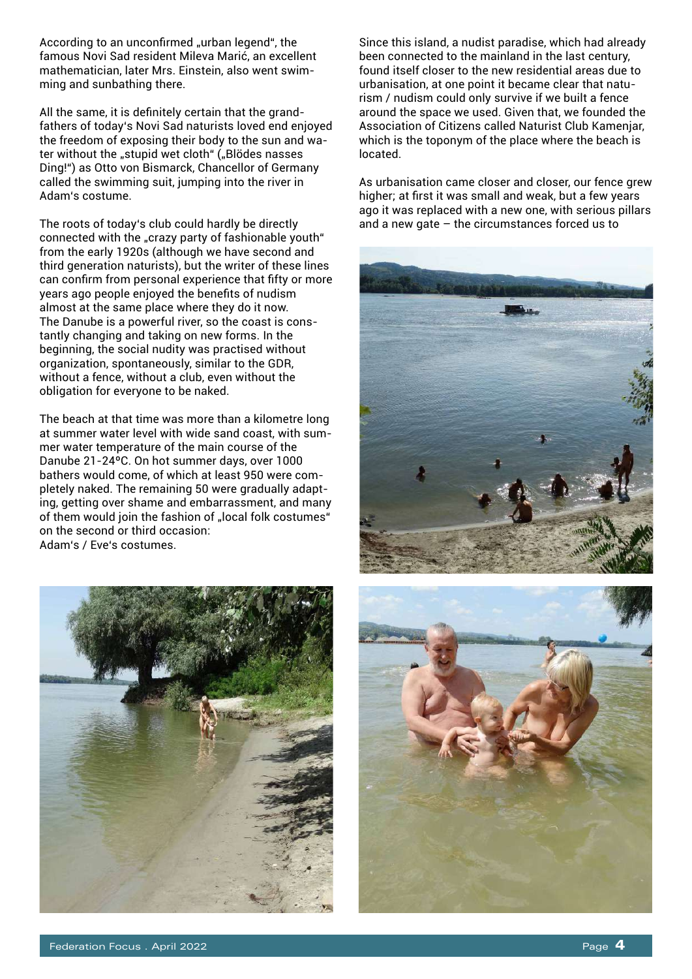According to an unconfirmed "urban legend", the famous Novi Sad resident Mileva Marić, an excellent mathematician, later Mrs. Einstein, also went swimming and sunbathing there.

All the same, it is definitely certain that the grandfathers of today's Novi Sad naturists loved end enjoyed the freedom of exposing their body to the sun and water without the "stupid wet cloth" ("Blödes nasses Ding!") as Otto von Bismarck, Chancellor of Germany called the swimming suit, jumping into the river in Adam's costume.

The roots of today's club could hardly be directly connected with the "crazy party of fashionable youth" from the early 1920s (although we have second and third generation naturists), but the writer of these lines can confirm from personal experience that fifty or more years ago people enjoyed the benefits of nudism almost at the same place where they do it now. The Danube is a powerful river, so the coast is constantly changing and taking on new forms. In the beginning, the social nudity was practised without organization, spontaneously, similar to the GDR, without a fence, without a club, even without the obligation for everyone to be naked.

The beach at that time was more than a kilometre long at summer water level with wide sand coast, with summer water temperature of the main course of the Danube 21-24ºC. On hot summer days, over 1000 bathers would come, of which at least 950 were completely naked. The remaining 50 were gradually adapting, getting over shame and embarrassment, and many of them would join the fashion of "local folk costumes" on the second or third occasion: Adam's / Eve's costumes.

Since this island, a nudist paradise, which had already been connected to the mainland in the last century, found itself closer to the new residential areas due to urbanisation, at one point it became clear that naturism / nudism could only survive if we built a fence around the space we used. Given that, we founded the Association of Citizens called Naturist Club Kamenjar, which is the toponym of the place where the beach is located.

As urbanisation came closer and closer, our fence grew higher; at first it was small and weak, but a few years ago it was replaced with a new one, with serious pillars and a new gate  $-$  the circumstances forced us to





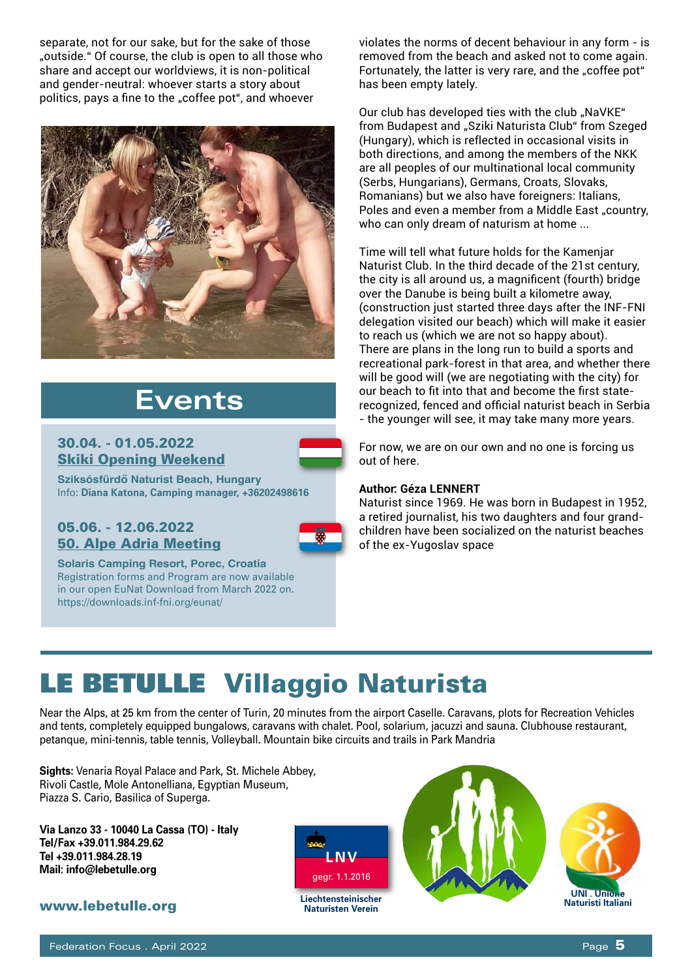separate, not for our sake, but for the sake of those "outside." Of course, the club is open to all those who share and accept our worldviews, it is non-political and gender-neutral: whoever starts a story about politics, pays a fine to the "coffee pot", and whoever



### **Events**

#### 30.04. - 01.05.2022 Skiki Opening Weekend

**Sziksósfürdő Naturist Beach, Hungary** Info: **Diana Katona, Camping manager, +36202498616**

#### 05.06. - 12.06.2022 50. Alpe Adria Meeting



**Solaris Camping Resort, Porec, Croatia** Registration forms and Program are now available in our open EuNat Download from March 2022 on. https://downloads.inf-fni.org/eunat/

violates the norms of decent behaviour in any form - is removed from the beach and asked not to come again. Fortunately, the latter is very rare, and the "coffee pot" has been empty lately.

Our club has developed ties with the club "NaVKE" from Budapest and "Sziki Naturista Club" from Szeged (Hungary), which is reflected in occasional visits in both directions, and among the members of the NKK are all peoples of our multinational local community (Serbs, Hungarians), Germans, Croats, Slovaks, Romanians) but we also have foreigners: Italians, Poles and even a member from a Middle East "country, who can only dream of naturism at home ...

Time will tell what future holds for the Kamenjar Naturist Club. In the third decade of the 21st century, the city is all around us, a magnificent (fourth) bridge over the Danube is being built a kilometre away, (construction just started three days after the INF-FNI delegation visited our beach) which will make it easier to reach us (which we are not so happy about). There are plans in the long run to build a sports and recreational park-forest in that area, and whether there will be good will (we are negotiating with the city) for our beach to fit into that and become the first staterecognized, fenced and official naturist beach in Serbia - the younger will see, it may take many more years.

For now, we are on our own and no one is forcing us out of here.

#### **Author: Géza LENNERT**

Naturist since 1969. He was born in Budapest in 1952, a retired journalist, his two daughters and four grandchildren have been socialized on the naturist beaches of the ex-Yugoslav space

### LE BETULLE Villaggio Naturista

Near the Alps, at 25 km from the center of Turin, 20 minutes from the airport Caselle. Caravans, plots for Recreation Vehicles and tents, completely equipped bungalows, caravans with chalet. Pool, solarium, jacuzzi and sauna. Clubhouse restaurant, petanque, mini-tennis, table tennis, Volleyball. Mountain bike circuits and trails in Park Mandria

**Sights:** Venaria Royal Palace and Park, St. Michele Abbey, Rivoli Castle, Mole Antonelliana, Egyptian Museum, Piazza S. Cario, Basilica of Superga.

**Via Lanzo 33 - 10040 La Cassa (TO) - Italy Tel/Fax +39.011.984.29.62 Tel +39.011.984.28.19 Mail: info@lebetulle.org** 

#### www.lebetulle.org



**Liechtensteinischer Naturisten Verein**